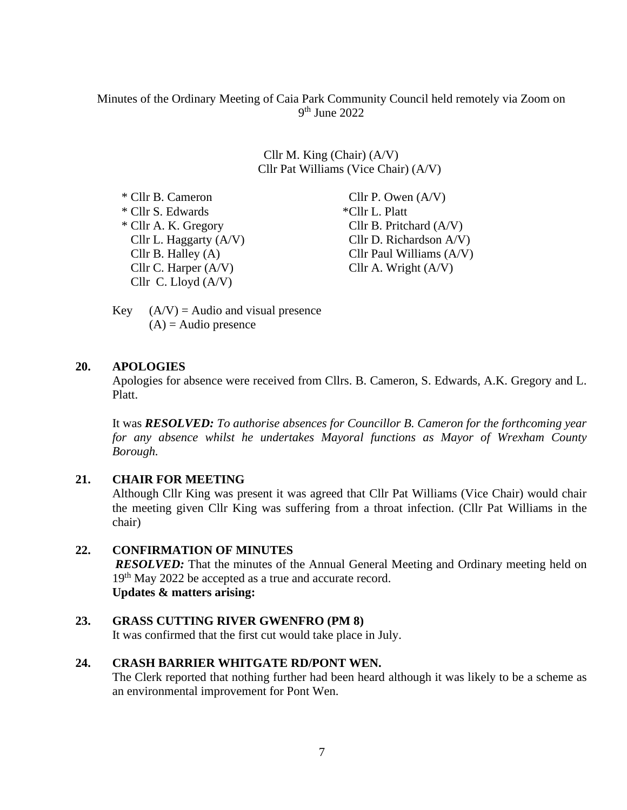Minutes of the Ordinary Meeting of Caia Park Community Council held remotely via Zoom on 9 th June 2022

> Cllr M. King (Chair) (A/V) Cllr Pat Williams (Vice Chair) (A/V)

 $*$  Cllr B. Cameron Cllr P. Owen  $(A/V)$  \* Cllr S. Edwards \*Cllr L. Platt \* Cllr A. K. Gregory Cllr B. Pritchard (A/V) Cllr C. Harper  $(A/V)$  Cllr A. Wright  $(A/V)$ Cllr C. Lloyd (A/V)

Cllr L. Haggarty  $(A/V)$  Cllr D. Richardson  $A/V$ ) Cllr B. Halley (A) Cllr Paul Williams (A/V)

Key  $(A/V) =$  Audio and visual presence  $(A)$  = Audio presence

#### **20. APOLOGIES**

Apologies for absence were received from Cllrs. B. Cameron, S. Edwards, A.K. Gregory and L. Platt.

It was *RESOLVED: To authorise absences for Councillor B. Cameron for the forthcoming year for any absence whilst he undertakes Mayoral functions as Mayor of Wrexham County Borough.*

#### **21. CHAIR FOR MEETING**

Although Cllr King was present it was agreed that Cllr Pat Williams (Vice Chair) would chair the meeting given Cllr King was suffering from a throat infection. (Cllr Pat Williams in the chair)

**22. CONFIRMATION OF MINUTES** *RESOLVED*: That the minutes of the Annual General Meeting and Ordinary meeting held on 19<sup>th</sup> May 2022 be accepted as a true and accurate record.

# **Updates & matters arising:**

#### **23. GRASS CUTTING RIVER GWENFRO (PM 8)**

It was confirmed that the first cut would take place in July.

#### **24. CRASH BARRIER WHITGATE RD/PONT WEN.**

The Clerk reported that nothing further had been heard although it was likely to be a scheme as an environmental improvement for Pont Wen.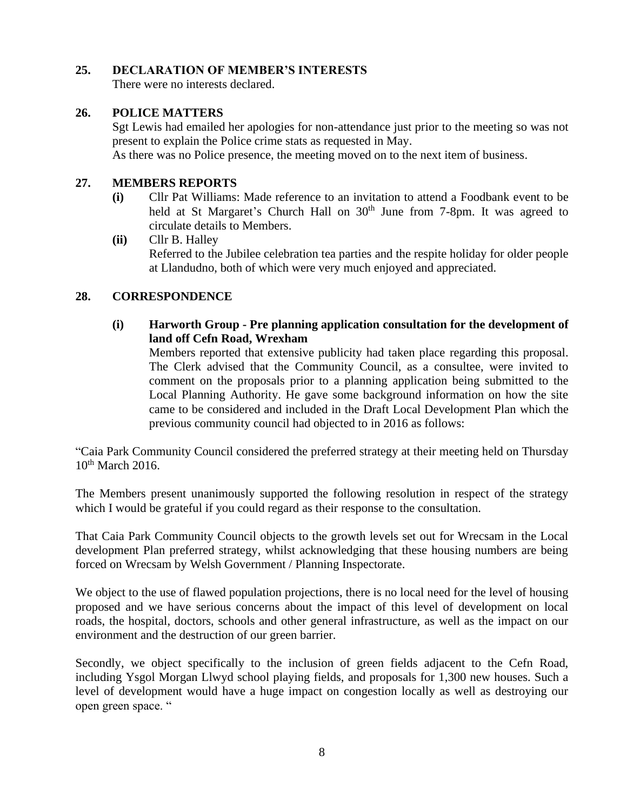#### **25. DECLARATION OF MEMBER'S INTERESTS**

There were no interests declared.

# **26. POLICE MATTERS**

Sgt Lewis had emailed her apologies for non-attendance just prior to the meeting so was not present to explain the Police crime stats as requested in May.

As there was no Police presence, the meeting moved on to the next item of business.

## **27. MEMBERS REPORTS**

- **(i)** Cllr Pat Williams: Made reference to an invitation to attend a Foodbank event to be held at St Margaret's Church Hall on 30<sup>th</sup> June from 7-8pm. It was agreed to circulate details to Members.
- **(ii)** Cllr B. Halley Referred to the Jubilee celebration tea parties and the respite holiday for older people at Llandudno, both of which were very much enjoyed and appreciated.

# **28. CORRESPONDENCE**

**(i) Harworth Group - Pre planning application consultation for the development of land off Cefn Road, Wrexham**

Members reported that extensive publicity had taken place regarding this proposal. The Clerk advised that the Community Council, as a consultee, were invited to comment on the proposals prior to a planning application being submitted to the Local Planning Authority. He gave some background information on how the site came to be considered and included in the Draft Local Development Plan which the previous community council had objected to in 2016 as follows:

"Caia Park Community Council considered the preferred strategy at their meeting held on Thursday  $10^{th}$  March 2016.

The Members present unanimously supported the following resolution in respect of the strategy which I would be grateful if you could regard as their response to the consultation.

That Caia Park Community Council objects to the growth levels set out for Wrecsam in the Local development Plan preferred strategy, whilst acknowledging that these housing numbers are being forced on Wrecsam by Welsh Government / Planning Inspectorate.

We object to the use of flawed population projections, there is no local need for the level of housing proposed and we have serious concerns about the impact of this level of development on local roads, the hospital, doctors, schools and other general infrastructure, as well as the impact on our environment and the destruction of our green barrier.

Secondly, we object specifically to the inclusion of green fields adjacent to the Cefn Road, including Ysgol Morgan Llwyd school playing fields, and proposals for 1,300 new houses. Such a level of development would have a huge impact on congestion locally as well as destroying our open green space. "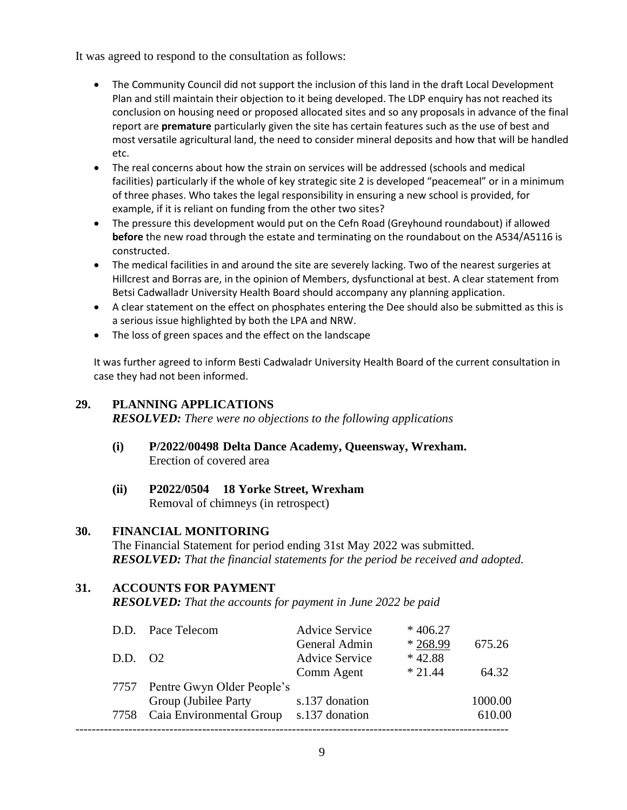It was agreed to respond to the consultation as follows:

- The Community Council did not support the inclusion of this land in the draft Local Development Plan and still maintain their objection to it being developed. The LDP enquiry has not reached its conclusion on housing need or proposed allocated sites and so any proposals in advance of the final report are **premature** particularly given the site has certain features such as the use of best and most versatile agricultural land, the need to consider mineral deposits and how that will be handled etc.
- The real concerns about how the strain on services will be addressed (schools and medical facilities) particularly if the whole of key strategic site 2 is developed "peacemeal" or in a minimum of three phases. Who takes the legal responsibility in ensuring a new school is provided, for example, if it is reliant on funding from the other two sites?
- The pressure this development would put on the Cefn Road (Greyhound roundabout) if allowed **before** the new road through the estate and terminating on the roundabout on the A534/A5116 is constructed.
- The medical facilities in and around the site are severely lacking. Two of the nearest surgeries at Hillcrest and Borras are, in the opinion of Members, dysfunctional at best. A clear statement from Betsi Cadwalladr University Health Board should accompany any planning application.
- A clear statement on the effect on phosphates entering the Dee should also be submitted as this is a serious issue highlighted by both the LPA and NRW.
- The loss of green spaces and the effect on the landscape

It was further agreed to inform Besti Cadwaladr University Health Board of the current consultation in case they had not been informed.

## **29. PLANNING APPLICATIONS**

*RESOLVED: There were no objections to the following applications*

- **(i) P/2022/00498 Delta Dance Academy, Queensway, Wrexham.** Erection of covered area
- **(ii) P2022/0504 18 Yorke Street, Wrexham** Removal of chimneys (in retrospect)

## **30. FINANCIAL MONITORING**

The Financial Statement for period ending 31st May 2022 was submitted. *RESOLVED: That the financial statements for the period be received and adopted.*

## **31. ACCOUNTS FOR PAYMENT**

*RESOLVED: That the accounts for payment in June 2022 be paid*

|         | D.D. Pace Telecom               | <b>Advice Service</b> | $*406.27$ |         |
|---------|---------------------------------|-----------------------|-----------|---------|
|         |                                 | General Admin         | $*268.99$ | 675.26  |
| D.D. 02 |                                 | <b>Advice Service</b> | $*42.88$  |         |
|         |                                 | Comm Agent            | $*21.44$  | 64.32   |
|         | 7757 Pentre Gwyn Older People's |                       |           |         |
|         | Group (Jubilee Party            | s.137 donation        |           | 1000.00 |
|         | 7758 Caia Environmental Group   | s.137 donation        |           | 610.00  |
|         |                                 |                       |           |         |